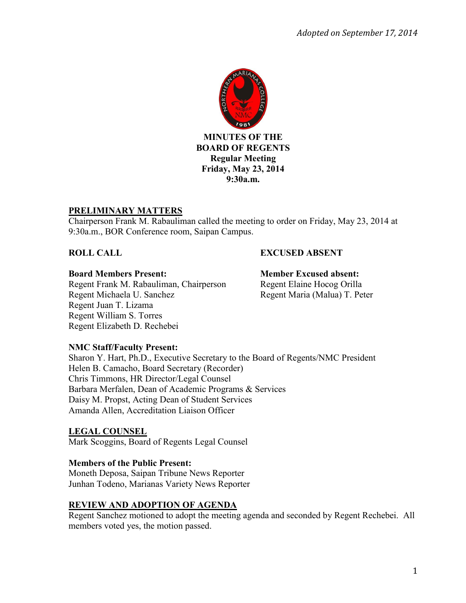

# **PRELIMINARY MATTERS**

Chairperson Frank M. Rabauliman called the meeting to order on Friday, May 23, 2014 at 9:30a.m., BOR Conference room, Saipan Campus.

# **ROLL CALL EXCUSED ABSENT**

#### **Board Members Present: Member Excused absent:**

Regent Frank M. Rabauliman, Chairperson Regent Elaine Hocog Orilla Regent Michaela U. Sanchez Regent Maria (Malua) T. Peter Regent Juan T. Lizama Regent William S. Torres Regent Elizabeth D. Rechebei

#### **NMC Staff/Faculty Present:**

Sharon Y. Hart, Ph.D., Executive Secretary to the Board of Regents/NMC President Helen B. Camacho, Board Secretary (Recorder) Chris Timmons, HR Director/Legal Counsel Barbara Merfalen, Dean of Academic Programs & Services Daisy M. Propst, Acting Dean of Student Services Amanda Allen, Accreditation Liaison Officer

#### **LEGAL COUNSEL** Mark Scoggins, Board of Regents Legal Counsel

#### **Members of the Public Present:**

Moneth Deposa, Saipan Tribune News Reporter Junhan Todeno, Marianas Variety News Reporter

# **REVIEW AND ADOPTION OF AGENDA**

Regent Sanchez motioned to adopt the meeting agenda and seconded by Regent Rechebei. All members voted yes, the motion passed.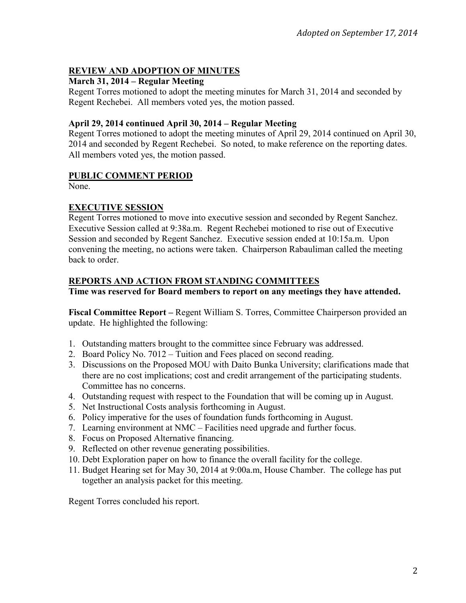# **REVIEW AND ADOPTION OF MINUTES**

### **March 31, 2014 – Regular Meeting**

Regent Torres motioned to adopt the meeting minutes for March 31, 2014 and seconded by Regent Rechebei. All members voted yes, the motion passed.

### **April 29, 2014 continued April 30, 2014 – Regular Meeting**

Regent Torres motioned to adopt the meeting minutes of April 29, 2014 continued on April 30, 2014 and seconded by Regent Rechebei. So noted, to make reference on the reporting dates. All members voted yes, the motion passed.

## **PUBLIC COMMENT PERIOD**

None.

# **EXECUTIVE SESSION**

Regent Torres motioned to move into executive session and seconded by Regent Sanchez. Executive Session called at 9:38a.m. Regent Rechebei motioned to rise out of Executive Session and seconded by Regent Sanchez. Executive session ended at 10:15a.m. Upon convening the meeting, no actions were taken. Chairperson Rabauliman called the meeting back to order.

## **REPORTS AND ACTION FROM STANDING COMMITTEES**

**Time was reserved for Board members to report on any meetings they have attended.** 

**Fiscal Committee Report –** Regent William S. Torres, Committee Chairperson provided an update. He highlighted the following:

- 1. Outstanding matters brought to the committee since February was addressed.
- 2. Board Policy No. 7012 Tuition and Fees placed on second reading.
- 3. Discussions on the Proposed MOU with Daito Bunka University; clarifications made that there are no cost implications; cost and credit arrangement of the participating students. Committee has no concerns.
- 4. Outstanding request with respect to the Foundation that will be coming up in August.
- 5. Net Instructional Costs analysis forthcoming in August.
- 6. Policy imperative for the uses of foundation funds forthcoming in August.
- 7. Learning environment at NMC Facilities need upgrade and further focus.
- 8. Focus on Proposed Alternative financing.
- 9. Reflected on other revenue generating possibilities.
- 10. Debt Exploration paper on how to finance the overall facility for the college.
- 11. Budget Hearing set for May 30, 2014 at 9:00a.m, House Chamber. The college has put together an analysis packet for this meeting.

Regent Torres concluded his report.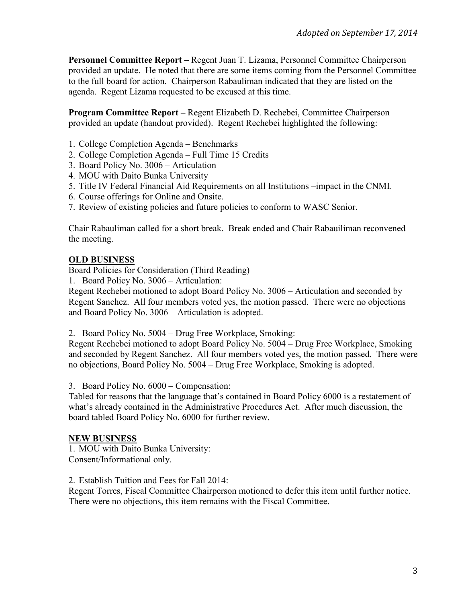**Personnel Committee Report –** Regent Juan T. Lizama, Personnel Committee Chairperson provided an update. He noted that there are some items coming from the Personnel Committee to the full board for action. Chairperson Rabauliman indicated that they are listed on the agenda. Regent Lizama requested to be excused at this time.

**Program Committee Report –** Regent Elizabeth D. Rechebei, Committee Chairperson provided an update (handout provided). Regent Rechebei highlighted the following:

- 1. College Completion Agenda Benchmarks
- 2. College Completion Agenda Full Time 15 Credits
- 3. Board Policy No. 3006 Articulation
- 4. MOU with Daito Bunka University
- 5. Title IV Federal Financial Aid Requirements on all Institutions –impact in the CNMI.
- 6. Course offerings for Online and Onsite.
- 7. Review of existing policies and future policies to conform to WASC Senior.

Chair Rabauliman called for a short break. Break ended and Chair Rabauiliman reconvened the meeting.

#### **OLD BUSINESS**

Board Policies for Consideration (Third Reading)

1. Board Policy No. 3006 – Articulation:

Regent Rechebei motioned to adopt Board Policy No. 3006 – Articulation and seconded by Regent Sanchez. All four members voted yes, the motion passed. There were no objections and Board Policy No. 3006 – Articulation is adopted.

2. Board Policy No. 5004 – Drug Free Workplace, Smoking:

Regent Rechebei motioned to adopt Board Policy No. 5004 – Drug Free Workplace, Smoking and seconded by Regent Sanchez. All four members voted yes, the motion passed. There were no objections, Board Policy No. 5004 – Drug Free Workplace, Smoking is adopted.

3. Board Policy No. 6000 – Compensation:

Tabled for reasons that the language that's contained in Board Policy 6000 is a restatement of what's already contained in the Administrative Procedures Act. After much discussion, the board tabled Board Policy No. 6000 for further review.

#### **NEW BUSINESS**

1. MOU with Daito Bunka University: Consent/Informational only.

2. Establish Tuition and Fees for Fall 2014:

Regent Torres, Fiscal Committee Chairperson motioned to defer this item until further notice. There were no objections, this item remains with the Fiscal Committee.